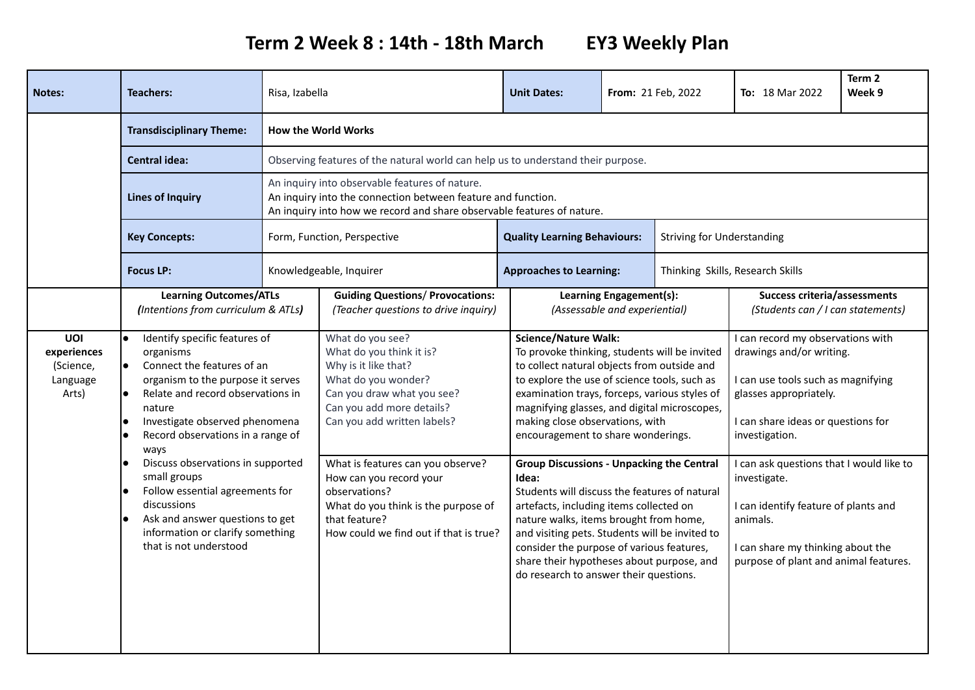**Term 2 Week 8 : 14th - 18th March EY3 Weekly Plan**

| <b>Notes:</b>                                                                                                                                                                                        | <b>Teachers:</b>                                                                                                                                                                                                                                         | Risa, Izabella                                                                                                                                                                           |                                                                                                                                                                                       | <b>Unit Dates:</b>                                                                                                                                                                                                                                                                                                                                                                    | From: 21 Feb, 2022                                       |                                                                                                                                                                                            | <b>To: 18 Mar 2022</b>                                                                                                                                                                | Term 2<br>Week 9 |
|------------------------------------------------------------------------------------------------------------------------------------------------------------------------------------------------------|----------------------------------------------------------------------------------------------------------------------------------------------------------------------------------------------------------------------------------------------------------|------------------------------------------------------------------------------------------------------------------------------------------------------------------------------------------|---------------------------------------------------------------------------------------------------------------------------------------------------------------------------------------|---------------------------------------------------------------------------------------------------------------------------------------------------------------------------------------------------------------------------------------------------------------------------------------------------------------------------------------------------------------------------------------|----------------------------------------------------------|--------------------------------------------------------------------------------------------------------------------------------------------------------------------------------------------|---------------------------------------------------------------------------------------------------------------------------------------------------------------------------------------|------------------|
|                                                                                                                                                                                                      | <b>Transdisciplinary Theme:</b>                                                                                                                                                                                                                          | <b>How the World Works</b>                                                                                                                                                               |                                                                                                                                                                                       |                                                                                                                                                                                                                                                                                                                                                                                       |                                                          |                                                                                                                                                                                            |                                                                                                                                                                                       |                  |
|                                                                                                                                                                                                      | <b>Central idea:</b>                                                                                                                                                                                                                                     | Observing features of the natural world can help us to understand their purpose.                                                                                                         |                                                                                                                                                                                       |                                                                                                                                                                                                                                                                                                                                                                                       |                                                          |                                                                                                                                                                                            |                                                                                                                                                                                       |                  |
|                                                                                                                                                                                                      | <b>Lines of Inquiry</b>                                                                                                                                                                                                                                  | An inquiry into observable features of nature.<br>An inquiry into the connection between feature and function.<br>An inquiry into how we record and share observable features of nature. |                                                                                                                                                                                       |                                                                                                                                                                                                                                                                                                                                                                                       |                                                          |                                                                                                                                                                                            |                                                                                                                                                                                       |                  |
|                                                                                                                                                                                                      | <b>Key Concepts:</b>                                                                                                                                                                                                                                     | Form, Function, Perspective                                                                                                                                                              |                                                                                                                                                                                       | <b>Quality Learning Behaviours:</b>                                                                                                                                                                                                                                                                                                                                                   |                                                          | <b>Striving for Understanding</b>                                                                                                                                                          |                                                                                                                                                                                       |                  |
|                                                                                                                                                                                                      | <b>Focus LP:</b>                                                                                                                                                                                                                                         |                                                                                                                                                                                          | Knowledgeable, Inquirer                                                                                                                                                               | <b>Approaches to Learning:</b>                                                                                                                                                                                                                                                                                                                                                        |                                                          |                                                                                                                                                                                            | Thinking Skills, Research Skills                                                                                                                                                      |                  |
|                                                                                                                                                                                                      | <b>Learning Outcomes/ATLs</b><br>(Intentions from curriculum & ATLs)                                                                                                                                                                                     |                                                                                                                                                                                          | <b>Guiding Questions/ Provocations:</b><br>(Teacher questions to drive inquiry)                                                                                                       |                                                                                                                                                                                                                                                                                                                                                                                       | Learning Engagement(s):<br>(Assessable and experiential) |                                                                                                                                                                                            | <b>Success criteria/assessments</b><br>(Students can / I can statements)                                                                                                              |                  |
| <b>UOI</b><br>experiences<br>(Science,<br>Language<br>Arts)                                                                                                                                          | Identify specific features of<br>l.<br>organisms<br>Connect the features of an<br>organism to the purpose it serves<br>Relate and record observations in<br>le.<br>nature<br>Investigate observed phenomena<br>Record observations in a range of<br>ways |                                                                                                                                                                                          | What do you see?<br>What do you think it is?<br>Why is it like that?<br>What do you wonder?<br>Can you draw what you see?<br>Can you add more details?<br>Can you add written labels? | <b>Science/Nature Walk:</b><br>To provoke thinking, students will be invited<br>to collect natural objects from outside and<br>to explore the use of science tools, such as<br>examination trays, forceps, various styles of<br>magnifying glasses, and digital microscopes,<br>making close observations, with<br>encouragement to share wonderings.                                 |                                                          |                                                                                                                                                                                            | I can record my observations with<br>drawings and/or writing.<br>I can use tools such as magnifying<br>glasses appropriately.<br>I can share ideas or questions for<br>investigation. |                  |
| Discuss observations in supported<br>small groups<br>Follow essential agreements for<br>discussions<br>Ask and answer questions to get<br>information or clarify something<br>that is not understood |                                                                                                                                                                                                                                                          |                                                                                                                                                                                          | What is features can you observe?<br>How can you record your<br>observations?<br>What do you think is the purpose of<br>that feature?<br>How could we find out if that is true?       | <b>Group Discussions - Unpacking the Central</b><br>Idea:<br>Students will discuss the features of natural<br>artefacts, including items collected on<br>nature walks, items brought from home,<br>and visiting pets. Students will be invited to<br>consider the purpose of various features,<br>share their hypotheses about purpose, and<br>do research to answer their questions. |                                                          | I can ask questions that I would like to<br>investigate.<br>I can identify feature of plants and<br>animals.<br>I can share my thinking about the<br>purpose of plant and animal features. |                                                                                                                                                                                       |                  |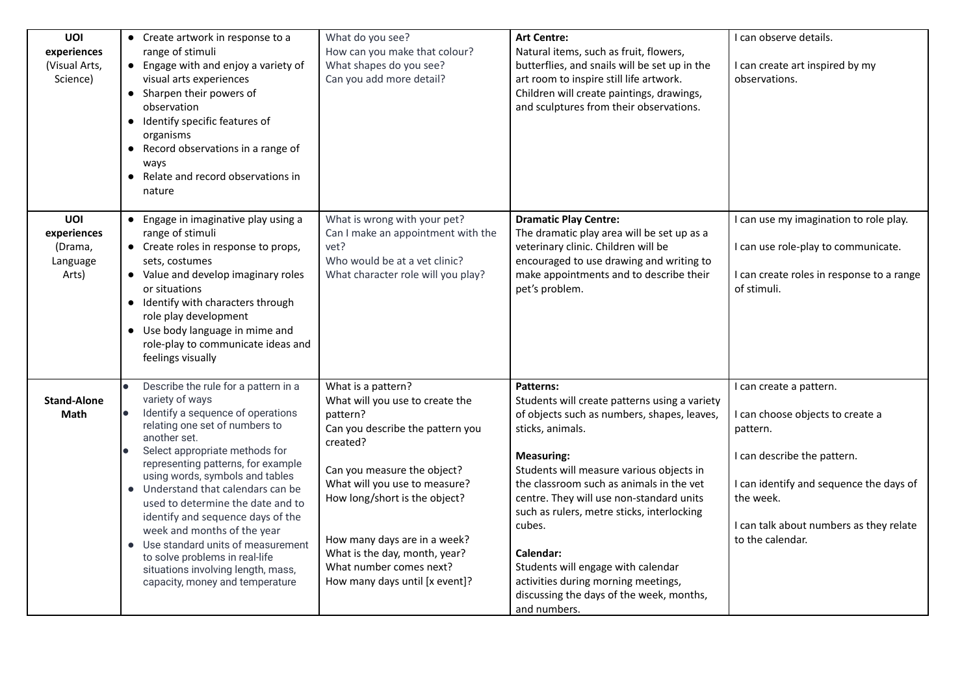| UOI<br>experiences<br>(Visual Arts,<br>Science)    | • Create artwork in response to a<br>range of stimuli<br>• Engage with and enjoy a variety of<br>visual arts experiences<br>• Sharpen their powers of<br>observation<br>Identify specific features of<br>$\bullet$<br>organisms<br>Record observations in a range of<br>$\bullet$<br>ways<br>Relate and record observations in<br>$\bullet$<br>nature                                                                                                                                                                                                                              | What do you see?<br>How can you make that colour?<br>What shapes do you see?<br>Can you add more detail?                                                                                                                                                                                                                                         | <b>Art Centre:</b><br>Natural items, such as fruit, flowers,<br>butterflies, and snails will be set up in the<br>art room to inspire still life artwork.<br>Children will create paintings, drawings,<br>and sculptures from their observations.                                                                                                                                                                                                                                                     | I can observe details.<br>I can create art inspired by my<br>observations.                                                                                                                                                    |
|----------------------------------------------------|------------------------------------------------------------------------------------------------------------------------------------------------------------------------------------------------------------------------------------------------------------------------------------------------------------------------------------------------------------------------------------------------------------------------------------------------------------------------------------------------------------------------------------------------------------------------------------|--------------------------------------------------------------------------------------------------------------------------------------------------------------------------------------------------------------------------------------------------------------------------------------------------------------------------------------------------|------------------------------------------------------------------------------------------------------------------------------------------------------------------------------------------------------------------------------------------------------------------------------------------------------------------------------------------------------------------------------------------------------------------------------------------------------------------------------------------------------|-------------------------------------------------------------------------------------------------------------------------------------------------------------------------------------------------------------------------------|
| UOI<br>experiences<br>(Drama,<br>Language<br>Arts) | Engage in imaginative play using a<br>$\bullet$<br>range of stimuli<br>• Create roles in response to props,<br>sets, costumes<br>• Value and develop imaginary roles<br>or situations<br>• Identify with characters through<br>role play development<br>• Use body language in mime and<br>role-play to communicate ideas and<br>feelings visually                                                                                                                                                                                                                                 | What is wrong with your pet?<br>Can I make an appointment with the<br>vet?<br>Who would be at a vet clinic?<br>What character role will you play?                                                                                                                                                                                                | <b>Dramatic Play Centre:</b><br>The dramatic play area will be set up as a<br>veterinary clinic. Children will be<br>encouraged to use drawing and writing to<br>make appointments and to describe their<br>pet's problem.                                                                                                                                                                                                                                                                           | I can use my imagination to role play.<br>I can use role-play to communicate.<br>I can create roles in response to a range<br>of stimuli.                                                                                     |
| <b>Stand-Alone</b><br>Math                         | Describe the rule for a pattern in a<br>variety of ways<br>Identify a sequence of operations<br>$\bullet$<br>relating one set of numbers to<br>another set.<br>Select appropriate methods for<br>representing patterns, for example<br>using words, symbols and tables<br>• Understand that calendars can be<br>used to determine the date and to<br>identify and sequence days of the<br>week and months of the year<br>Use standard units of measurement<br>$\bullet$<br>to solve problems in real-life<br>situations involving length, mass,<br>capacity, money and temperature | What is a pattern?<br>What will you use to create the<br>pattern?<br>Can you describe the pattern you<br>created?<br>Can you measure the object?<br>What will you use to measure?<br>How long/short is the object?<br>How many days are in a week?<br>What is the day, month, year?<br>What number comes next?<br>How many days until [x event]? | Patterns:<br>Students will create patterns using a variety<br>of objects such as numbers, shapes, leaves,<br>sticks, animals.<br><b>Measuring:</b><br>Students will measure various objects in<br>the classroom such as animals in the vet<br>centre. They will use non-standard units<br>such as rulers, metre sticks, interlocking<br>cubes.<br>Calendar:<br>Students will engage with calendar<br>activities during morning meetings,<br>discussing the days of the week, months,<br>and numbers. | I can create a pattern.<br>I can choose objects to create a<br>pattern.<br>I can describe the pattern.<br>I can identify and sequence the days of<br>the week.<br>I can talk about numbers as they relate<br>to the calendar. |